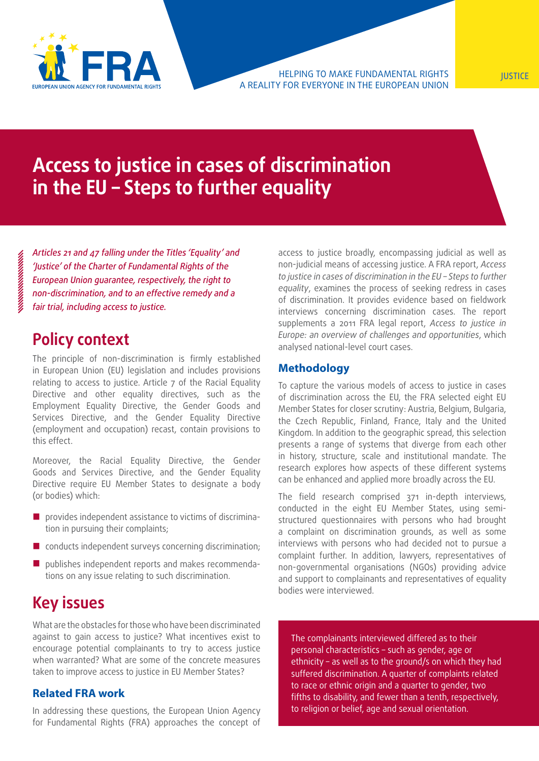

Helping to make fundamental rights a reality for everyone in the European Union

# **Access to justice in cases of discrimination in the EU – Steps to further equality**

*Articles 21 and 47 falling under the Titles 'Equality' and 'Justice' of the Charter of Fundamental Rights of the European Union guarantee, respectively, the right to non-discrimination, and to an effective remedy and a fair trial, including access to justice.*

### **Policy context**

The principle of non-discrimination is firmly established in European Union (EU) legislation and includes provisions relating to access to justice. Article 7 of the Racial Equality Directive and other equality directives, such as the Employment Equality Directive, the Gender Goods and Services Directive, and the Gender Equality Directive (employment and occupation) recast, contain provisions to this effect.

Moreover, the Racial Equality Directive, the Gender Goods and Services Directive, and the Gender Equality Directive require EU Member States to designate a body (or bodies) which:

- **P** provides independent assistance to victims of discrimination in pursuing their complaints;
- conducts independent surveys concerning discrimination;
- publishes independent reports and makes recommendations on any issue relating to such discrimination.

## **Key issues**

What are the obstacles for those who have been discriminated against to gain access to justice? What incentives exist to encourage potential complainants to try to access justice when warranted? What are some of the concrete measures taken to improve access to justice in EU Member States?

### **Related FRA work**

In addressing these questions, the European Union Agency for Fundamental Rights (FRA) approaches the concept of access to justice broadly, encompassing judicial as well as non-judicial means of accessing justice. A FRA report, *Access to justice in cases of discrimination in the EU – Steps to further equality*, examines the process of seeking redress in cases of discrimination. It provides evidence based on fieldwork interviews concerning discrimination cases. The report supplements a 2011 FRA legal report, *Access to justice in Europe: an overview of challenges and opportunities*, which analysed national-level court cases.

### **Methodology**

To capture the various models of access to justice in cases of discrimination across the EU, the FRA selected eight EU Member States for closer scrutiny: Austria, Belgium, Bulgaria, the Czech Republic, Finland, France, Italy and the United Kingdom. In addition to the geographic spread, this selection presents a range of systems that diverge from each other in history, structure, scale and institutional mandate. The research explores how aspects of these different systems can be enhanced and applied more broadly across the EU.

The field research comprised 371 in-depth interviews, conducted in the eight EU Member States, using semistructured questionnaires with persons who had brought a complaint on discrimination grounds, as well as some interviews with persons who had decided not to pursue a complaint further. In addition, lawyers, representatives of non-governmental organisations (NGOs) providing advice and support to complainants and representatives of equality bodies were interviewed.

The complainants interviewed differed as to their personal characteristics – such as gender, age or ethnicity – as well as to the ground/s on which they had suffered discrimination. A quarter of complaints related to race or ethnic origin and a quarter to gender, two fifths to disability, and fewer than a tenth, respectively, to religion or belief, age and sexual orientation.